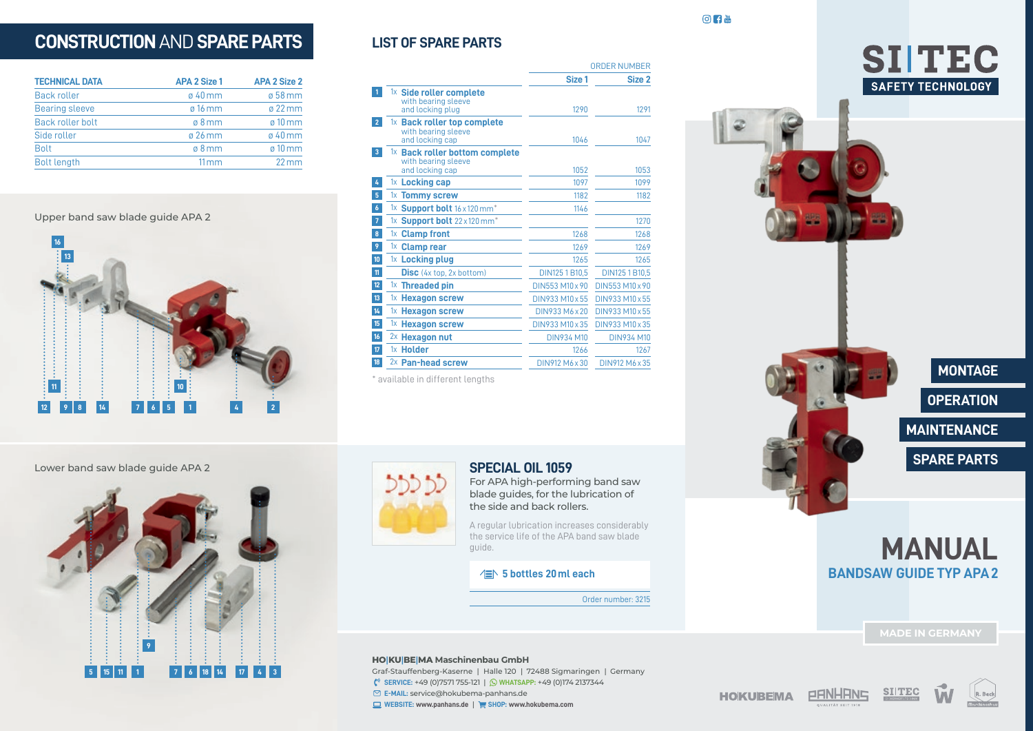# **CONSTRUCTION** AND **SPARE PARTS**

| <b>APA 2 Size 1</b> | <b>APA 2 Size 2</b> |
|---------------------|---------------------|
| $\sigma$ 40 mm      | ø 58 mm             |
| $\varnothing$ 16 mm | $\sigma$ 22 mm      |
| $\varnothing$ 8 mm  | $\sigma$ 10 mm      |
| $\varnothing$ 26 mm | $\sigma$ 40 mm      |
| $0.8$ mm            | $\sigma$ 10 mm      |
| $11 \,\mathrm{mm}$  | $22$ mm             |
|                     |                     |

Upper band saw blade guide APA 2



|                   |                                                                                     | Size 1            | Size 2            |
|-------------------|-------------------------------------------------------------------------------------|-------------------|-------------------|
|                   | $1x$ Side roller complete<br>with bearing sleeve<br>and locking plug                | 1290              | 1291              |
| $\overline{2}$    | 1x Back roller top complete<br>with bearing sleeve<br>and locking cap               | 1046              | 1047              |
| $\overline{3}$    | <sup>1x</sup> Back roller bottom complete<br>with bearing sleeve<br>and locking cap | 1052              | 1053              |
|                   | 1x Locking cap                                                                      | 1097              | 1099              |
| 5                 | 1x Tommy screw                                                                      | 1182              | 1182              |
| $\overline{6}$    | 1x Support bolt 16 x 120 mm*                                                        | 1146              |                   |
| $\overline{7}$    | 1x Support bolt $22 \times 120$ mm <sup>*</sup>                                     |                   | 1270              |
| $\bf{8}$          | 1x Clamp front                                                                      | 1268              | 1268              |
| 9                 | 1x Clamp rear                                                                       | 1269              | 1269              |
| 10 <sup>10</sup>  | 1x Locking plug                                                                     | 1265              | 1265              |
| $\mathfrak n$     | <b>Disc</b> $(4x \text{ top}, 2x \text{ bottom})$                                   | DIN125 1 B10,5    | DIN125 1 B10.5    |
| $12 \overline{ }$ | $1x$ Threaded pin                                                                   | DIN553 M10 x 90   | DIN553 M10 x 90   |
| 13 <sup>°</sup>   | $1x$ Hexagon screw                                                                  | DIN933 M10 x 55   | DIN933 M10 x 55   |
| 14 <sub>1</sub>   | $1x$ Hexagon screw                                                                  | DIN933 M6 x 20    | DIN933 M10 x 55   |
| 15 <sup>15</sup>  | <sup>1x</sup> Hexagon screw                                                         | DIN933 M10 x 35   | DIN933 M10 x 35   |
| 16 <sup>16</sup>  | $2x$ Hexagon nut                                                                    | <b>DIN934 M10</b> | <b>DIN934 M10</b> |
| $\overline{17}$   | <sup>1x</sup> Holder                                                                | 1266              | 1267              |
| 18                | 2x Pan-head screw                                                                   | DIN912 M6 x 30    | DIN912 M6 x 35    |

\* available in different lengths

**LIST OF SPARE PARTS** 





**MAINTENANCE OPERATION MONTAGE**

**SPARE PARTS**

Lower band saw blade guide APA 2





### **SPECIAL OIL 1059**

For APA high-performing band saw blade guides, for the lubrication of the side and back rollers.

A regular lubrication increases considerably the service life of the APA band saw blade guide.

### **5 bottles 20ml each**

Order number: 3215

ORDER NUMBER

 $\circ$   $\bullet$ 

#### **HO|KU|BE|MA Maschinenbau GmbH**

Graf-Stauffenberg-Kaserne | Halle 120 | 72488 Sigmaringen | Germany **SERVICE:** +49 (0)7571 755-121 | **WHATSAPP:** +49 (0)174 2137344 **E-MAIL:** service@hokubema-panhans.de **WEBSITE: www.panhans.de** | **SHOP: www.hokubema.com**

### **HOKUBEMA**



**MANUAL**

**BANDSAW GUIDE TYP APA2**